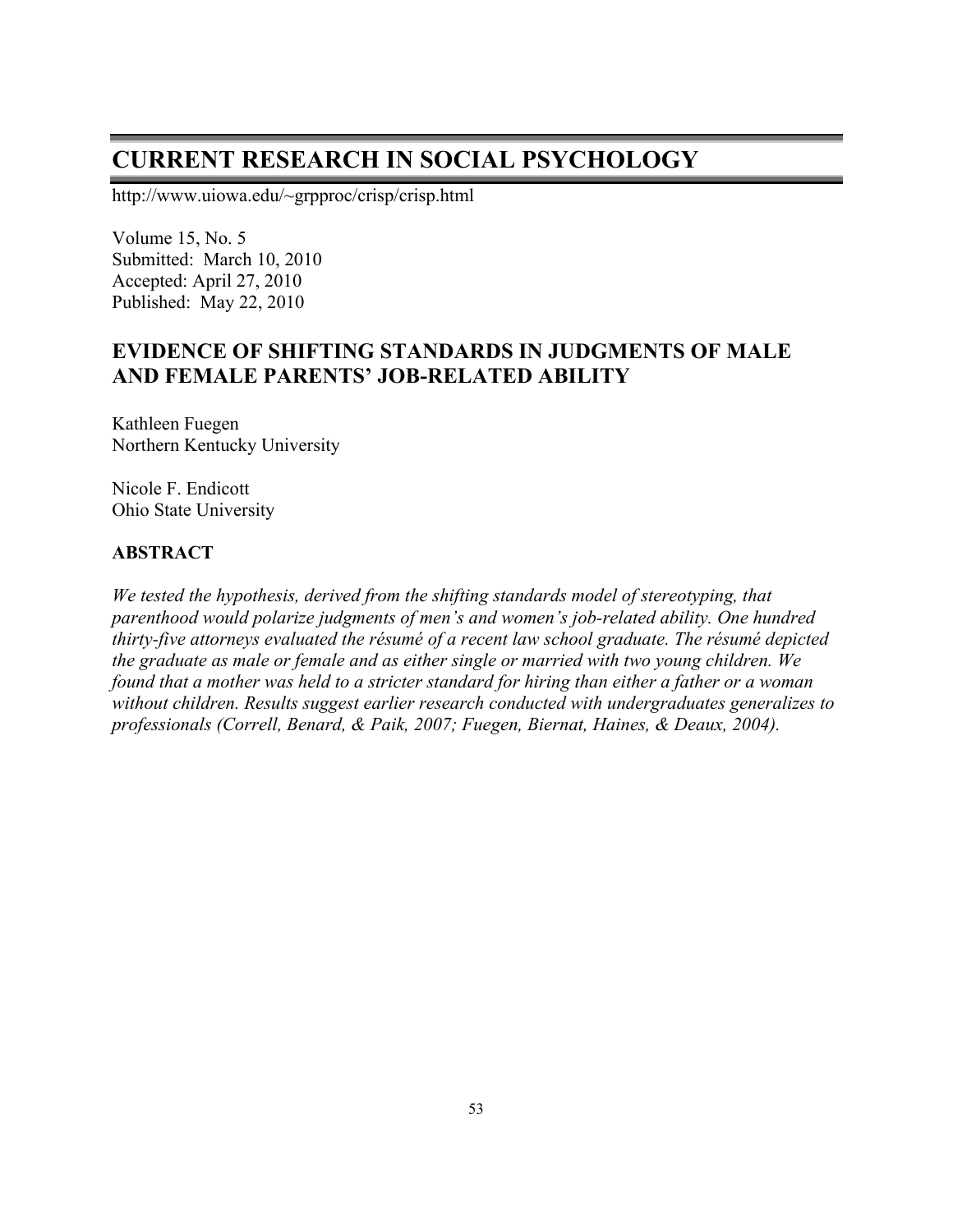# **CURRENT RESEARCH IN SOCIAL PSYCHOLOGY**

http://www.uiowa.edu/~grpproc/crisp/crisp.html

Volume 15, No. 5 Submitted: March 10, 2010 Accepted: April 27, 2010 Published: May 22, 2010

## **EVIDENCE OF SHIFTING STANDARDS IN JUDGMENTS OF MALE AND FEMALE PARENTS' JOB-RELATED ABILITY**

Kathleen Fuegen Northern Kentucky University

Nicole F. Endicott Ohio State University

#### **ABSTRACT**

*We tested the hypothesis, derived from the shifting standards model of stereotyping, that parenthood would polarize judgments of men's and women's job-related ability. One hundred thirty-five attorneys evaluated the résumé of a recent law school graduate. The résumé depicted the graduate as male or female and as either single or married with two young children. We found that a mother was held to a stricter standard for hiring than either a father or a woman without children. Results suggest earlier research conducted with undergraduates generalizes to professionals (Correll, Benard, & Paik, 2007; Fuegen, Biernat, Haines, & Deaux, 2004).*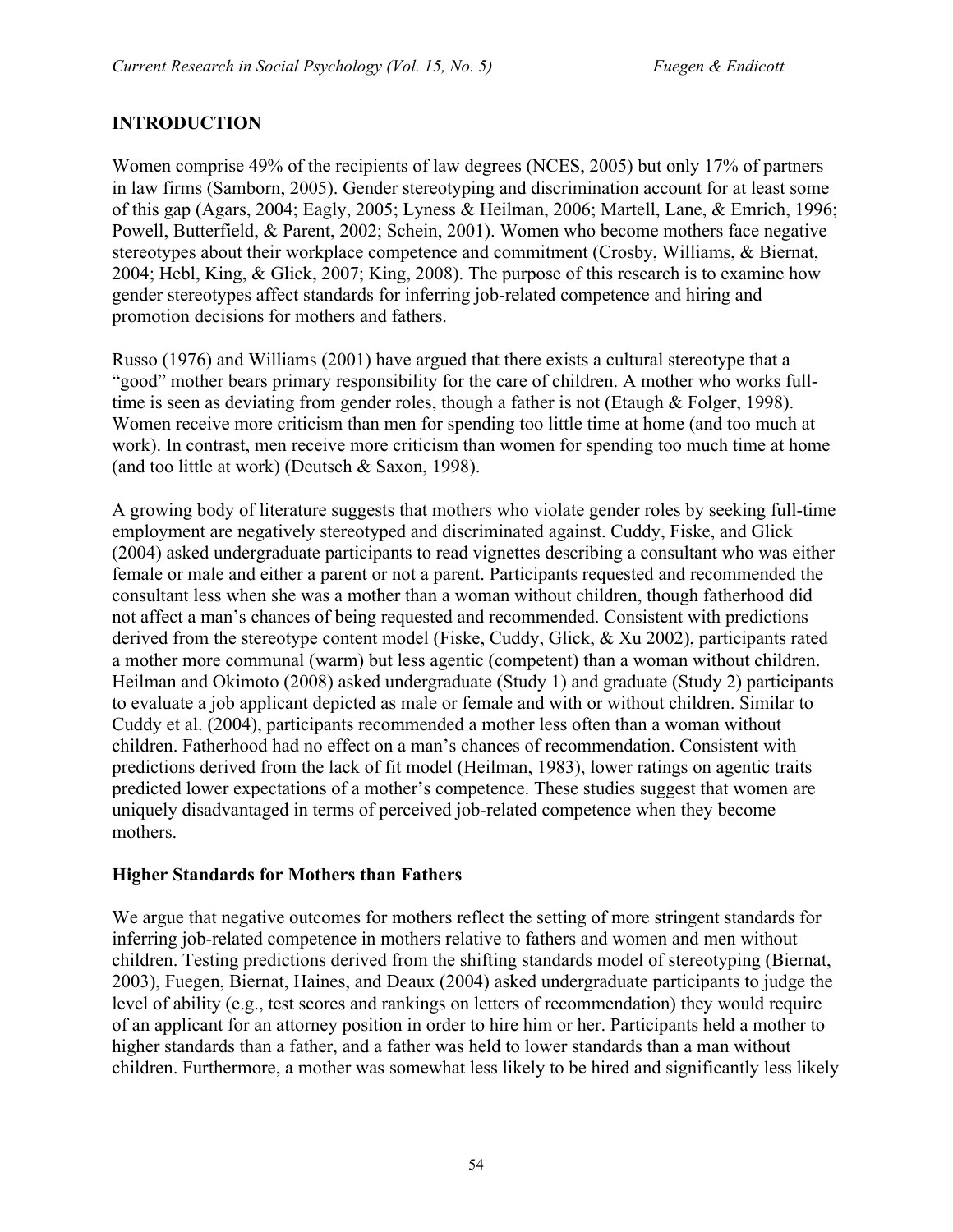## **INTRODUCTION**

Women comprise 49% of the recipients of law degrees (NCES, 2005) but only 17% of partners in law firms (Samborn, 2005). Gender stereotyping and discrimination account for at least some of this gap (Agars, 2004; Eagly, 2005; Lyness & Heilman, 2006; Martell, Lane, & Emrich, 1996; Powell, Butterfield, & Parent, 2002; Schein, 2001). Women who become mothers face negative stereotypes about their workplace competence and commitment (Crosby, Williams, & Biernat, 2004; Hebl, King, & Glick, 2007; King, 2008). The purpose of this research is to examine how gender stereotypes affect standards for inferring job-related competence and hiring and promotion decisions for mothers and fathers.

Russo (1976) and Williams (2001) have argued that there exists a cultural stereotype that a "good" mother bears primary responsibility for the care of children. A mother who works fulltime is seen as deviating from gender roles, though a father is not (Etaugh & Folger, 1998). Women receive more criticism than men for spending too little time at home (and too much at work). In contrast, men receive more criticism than women for spending too much time at home (and too little at work) (Deutsch & Saxon, 1998).

A growing body of literature suggests that mothers who violate gender roles by seeking full-time employment are negatively stereotyped and discriminated against. Cuddy, Fiske, and Glick (2004) asked undergraduate participants to read vignettes describing a consultant who was either female or male and either a parent or not a parent. Participants requested and recommended the consultant less when she was a mother than a woman without children, though fatherhood did not affect a man's chances of being requested and recommended. Consistent with predictions derived from the stereotype content model (Fiske, Cuddy, Glick, & Xu 2002), participants rated a mother more communal (warm) but less agentic (competent) than a woman without children. Heilman and Okimoto (2008) asked undergraduate (Study 1) and graduate (Study 2) participants to evaluate a job applicant depicted as male or female and with or without children. Similar to Cuddy et al. (2004), participants recommended a mother less often than a woman without children. Fatherhood had no effect on a man's chances of recommendation. Consistent with predictions derived from the lack of fit model (Heilman, 1983), lower ratings on agentic traits predicted lower expectations of a mother's competence. These studies suggest that women are uniquely disadvantaged in terms of perceived job-related competence when they become mothers.

#### **Higher Standards for Mothers than Fathers**

We argue that negative outcomes for mothers reflect the setting of more stringent standards for inferring job-related competence in mothers relative to fathers and women and men without children. Testing predictions derived from the shifting standards model of stereotyping (Biernat, 2003), Fuegen, Biernat, Haines, and Deaux (2004) asked undergraduate participants to judge the level of ability (e.g., test scores and rankings on letters of recommendation) they would require of an applicant for an attorney position in order to hire him or her. Participants held a mother to higher standards than a father, and a father was held to lower standards than a man without children. Furthermore, a mother was somewhat less likely to be hired and significantly less likely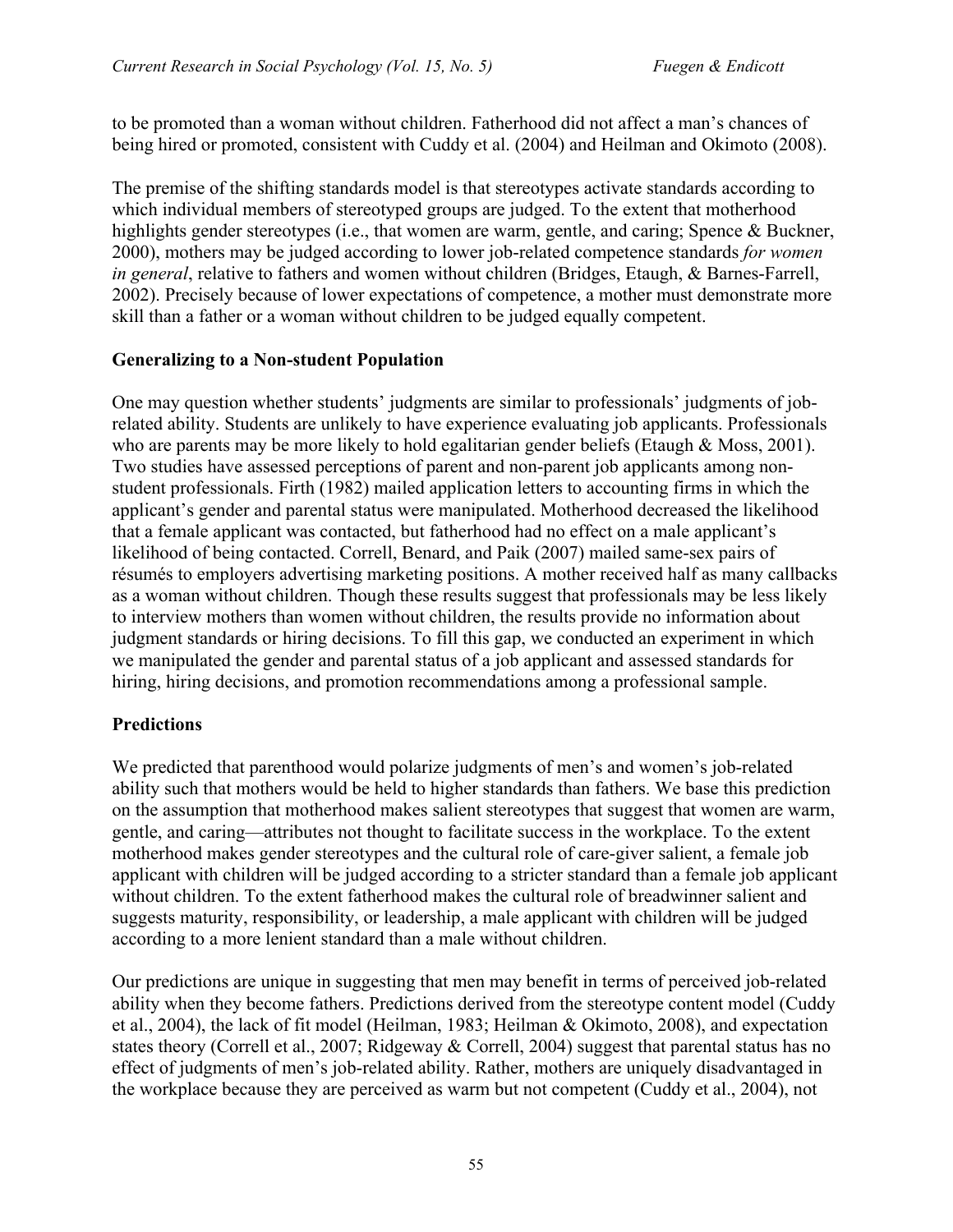to be promoted than a woman without children. Fatherhood did not affect a man's chances of being hired or promoted, consistent with Cuddy et al. (2004) and Heilman and Okimoto (2008).

The premise of the shifting standards model is that stereotypes activate standards according to which individual members of stereotyped groups are judged. To the extent that motherhood highlights gender stereotypes (i.e., that women are warm, gentle, and caring; Spence & Buckner, 2000), mothers may be judged according to lower job-related competence standards *for women in general*, relative to fathers and women without children (Bridges, Etaugh, & Barnes-Farrell, 2002). Precisely because of lower expectations of competence, a mother must demonstrate more skill than a father or a woman without children to be judged equally competent.

## **Generalizing to a Non-student Population**

One may question whether students' judgments are similar to professionals' judgments of jobrelated ability. Students are unlikely to have experience evaluating job applicants. Professionals who are parents may be more likely to hold egalitarian gender beliefs (Etaugh  $\&$  Moss, 2001). Two studies have assessed perceptions of parent and non-parent job applicants among nonstudent professionals. Firth (1982) mailed application letters to accounting firms in which the applicant's gender and parental status were manipulated. Motherhood decreased the likelihood that a female applicant was contacted, but fatherhood had no effect on a male applicant's likelihood of being contacted. Correll, Benard, and Paik (2007) mailed same-sex pairs of résumés to employers advertising marketing positions. A mother received half as many callbacks as a woman without children. Though these results suggest that professionals may be less likely to interview mothers than women without children, the results provide no information about judgment standards or hiring decisions. To fill this gap, we conducted an experiment in which we manipulated the gender and parental status of a job applicant and assessed standards for hiring, hiring decisions, and promotion recommendations among a professional sample.

## **Predictions**

We predicted that parenthood would polarize judgments of men's and women's job-related ability such that mothers would be held to higher standards than fathers. We base this prediction on the assumption that motherhood makes salient stereotypes that suggest that women are warm, gentle, and caring—attributes not thought to facilitate success in the workplace. To the extent motherhood makes gender stereotypes and the cultural role of care-giver salient, a female job applicant with children will be judged according to a stricter standard than a female job applicant without children. To the extent fatherhood makes the cultural role of breadwinner salient and suggests maturity, responsibility, or leadership, a male applicant with children will be judged according to a more lenient standard than a male without children.

Our predictions are unique in suggesting that men may benefit in terms of perceived job-related ability when they become fathers. Predictions derived from the stereotype content model (Cuddy et al., 2004), the lack of fit model (Heilman, 1983; Heilman & Okimoto, 2008), and expectation states theory (Correll et al., 2007; Ridgeway & Correll, 2004) suggest that parental status has no effect of judgments of men's job-related ability. Rather, mothers are uniquely disadvantaged in the workplace because they are perceived as warm but not competent (Cuddy et al., 2004), not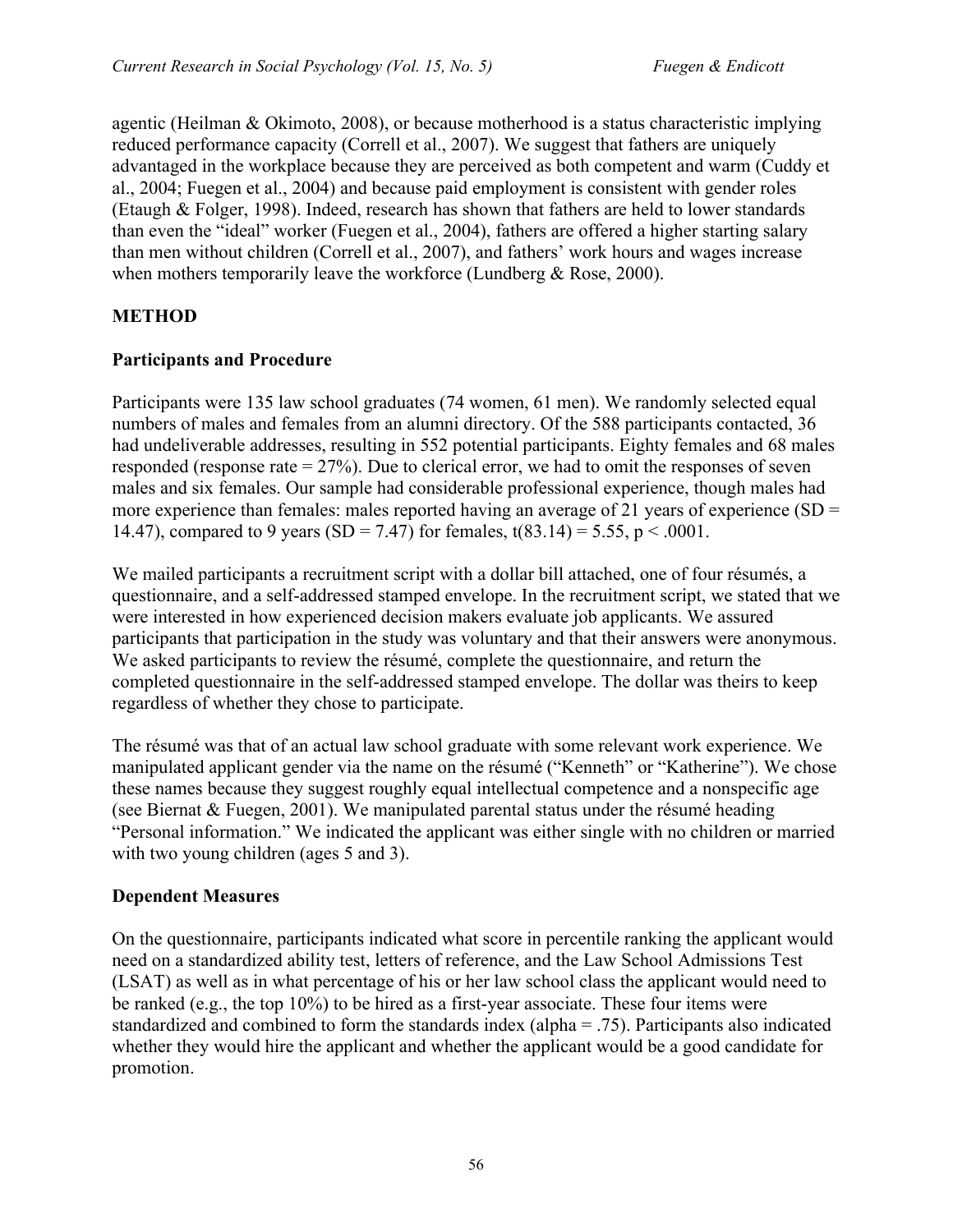agentic (Heilman & Okimoto, 2008), or because motherhood is a status characteristic implying reduced performance capacity (Correll et al., 2007). We suggest that fathers are uniquely advantaged in the workplace because they are perceived as both competent and warm (Cuddy et al., 2004; Fuegen et al., 2004) and because paid employment is consistent with gender roles (Etaugh & Folger, 1998). Indeed, research has shown that fathers are held to lower standards than even the "ideal" worker (Fuegen et al., 2004), fathers are offered a higher starting salary than men without children (Correll et al., 2007), and fathers' work hours and wages increase when mothers temporarily leave the workforce (Lundberg & Rose, 2000).

## **METHOD**

#### **Participants and Procedure**

Participants were 135 law school graduates (74 women, 61 men). We randomly selected equal numbers of males and females from an alumni directory. Of the 588 participants contacted, 36 had undeliverable addresses, resulting in 552 potential participants. Eighty females and 68 males responded (response rate  $= 27\%$ ). Due to clerical error, we had to omit the responses of seven males and six females. Our sample had considerable professional experience, though males had more experience than females: males reported having an average of 21 years of experience  $(SD =$ 14.47), compared to 9 years (SD = 7.47) for females,  $t(83.14) = 5.55$ ,  $p < .0001$ .

We mailed participants a recruitment script with a dollar bill attached, one of four résumés, a questionnaire, and a self-addressed stamped envelope. In the recruitment script, we stated that we were interested in how experienced decision makers evaluate job applicants. We assured participants that participation in the study was voluntary and that their answers were anonymous. We asked participants to review the résumé, complete the questionnaire, and return the completed questionnaire in the self-addressed stamped envelope. The dollar was theirs to keep regardless of whether they chose to participate.

The résumé was that of an actual law school graduate with some relevant work experience. We manipulated applicant gender via the name on the résumé ("Kenneth" or "Katherine"). We chose these names because they suggest roughly equal intellectual competence and a nonspecific age (see Biernat & Fuegen, 2001). We manipulated parental status under the résumé heading "Personal information." We indicated the applicant was either single with no children or married with two young children (ages 5 and 3).

## **Dependent Measures**

On the questionnaire, participants indicated what score in percentile ranking the applicant would need on a standardized ability test, letters of reference, and the Law School Admissions Test (LSAT) as well as in what percentage of his or her law school class the applicant would need to be ranked (e.g., the top 10%) to be hired as a first-year associate. These four items were standardized and combined to form the standards index (alpha = .75). Participants also indicated whether they would hire the applicant and whether the applicant would be a good candidate for promotion.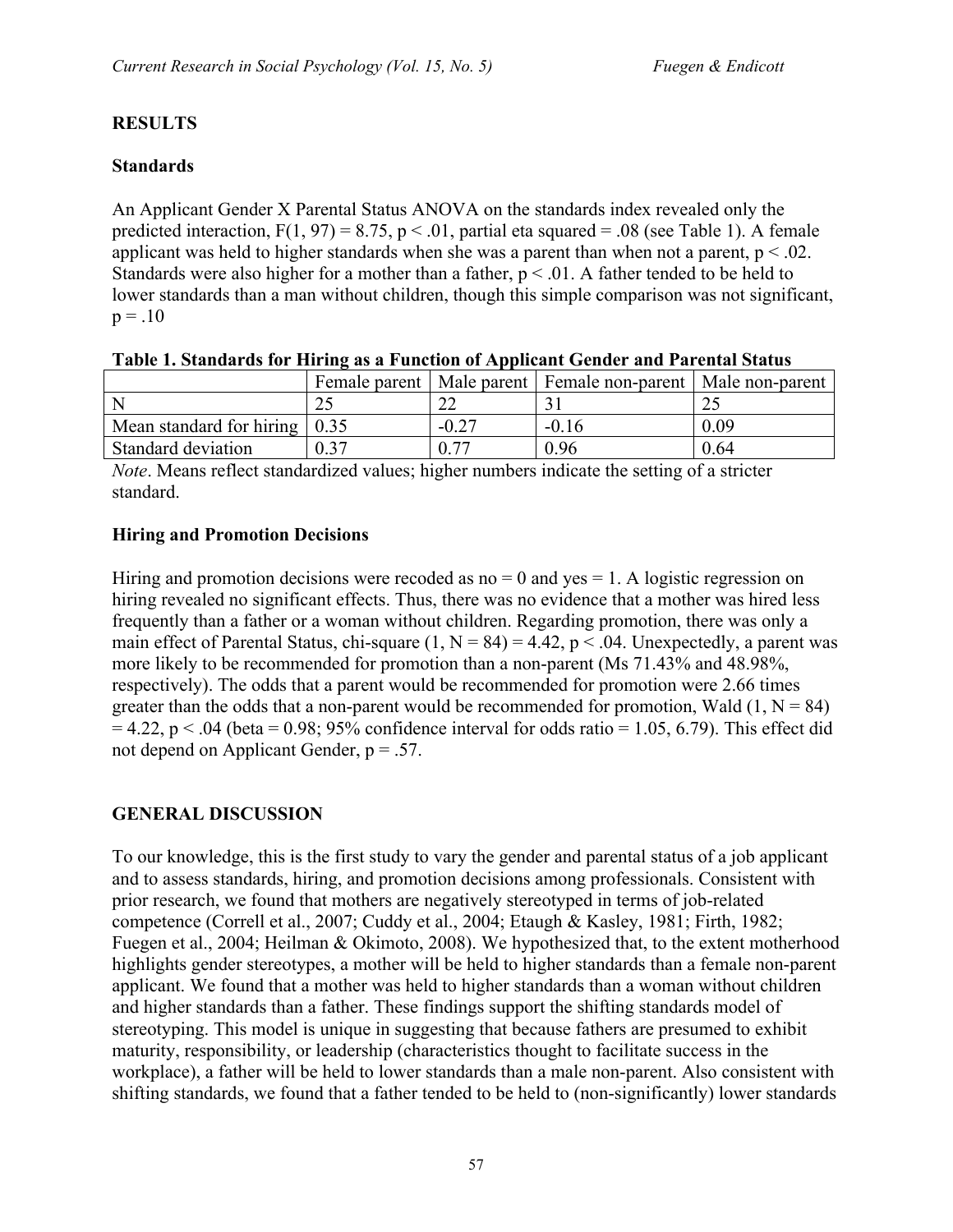#### **RESULTS**

#### **Standards**

An Applicant Gender X Parental Status ANOVA on the standards index revealed only the predicted interaction,  $F(1, 97) = 8.75$ ,  $p < .01$ , partial eta squared = .08 (see Table 1). A female applicant was held to higher standards when she was a parent than when not a parent,  $p < 0.02$ . Standards were also higher for a mother than a father,  $p < 0.01$ . A father tended to be held to lower standards than a man without children, though this simple comparison was not significant,  $p = .10$ 

|                                               | Female parent |         | Male parent   Female non-parent   Male non-parent |      |
|-----------------------------------------------|---------------|---------|---------------------------------------------------|------|
|                                               |               | $\sim$  |                                                   |      |
| Mean standard for hiring $\vert 0.35 \rangle$ |               | $-0.27$ | $-0.16$                                           | 0.09 |
| Standard deviation                            | 0.37          |         | 0.96                                              | 0.64 |

|  |  |  | Table 1. Standards for Hiring as a Function of Applicant Gender and Parental Status |
|--|--|--|-------------------------------------------------------------------------------------|
|  |  |  |                                                                                     |

*Note*. Means reflect standardized values; higher numbers indicate the setting of a stricter standard.

#### **Hiring and Promotion Decisions**

Hiring and promotion decisions were recoded as  $no = 0$  and  $yes = 1$ . A logistic regression on hiring revealed no significant effects. Thus, there was no evidence that a mother was hired less frequently than a father or a woman without children. Regarding promotion, there was only a main effect of Parental Status, chi-square  $(1, N = 84) = 4.42$ ,  $p < .04$ . Unexpectedly, a parent was more likely to be recommended for promotion than a non-parent (Ms 71.43% and 48.98%, respectively). The odds that a parent would be recommended for promotion were 2.66 times greater than the odds that a non-parent would be recommended for promotion, Wald  $(1, N = 84)$  $= 4.22$ , p < .04 (beta  $= 0.98$ ; 95% confidence interval for odds ratio  $= 1.05, 6.79$ ). This effect did not depend on Applicant Gender,  $p = .57$ .

#### **GENERAL DISCUSSION**

To our knowledge, this is the first study to vary the gender and parental status of a job applicant and to assess standards, hiring, and promotion decisions among professionals. Consistent with prior research, we found that mothers are negatively stereotyped in terms of job-related competence (Correll et al., 2007; Cuddy et al., 2004; Etaugh & Kasley, 1981; Firth, 1982; Fuegen et al., 2004; Heilman & Okimoto, 2008). We hypothesized that, to the extent motherhood highlights gender stereotypes, a mother will be held to higher standards than a female non-parent applicant. We found that a mother was held to higher standards than a woman without children and higher standards than a father. These findings support the shifting standards model of stereotyping. This model is unique in suggesting that because fathers are presumed to exhibit maturity, responsibility, or leadership (characteristics thought to facilitate success in the workplace), a father will be held to lower standards than a male non-parent. Also consistent with shifting standards, we found that a father tended to be held to (non-significantly) lower standards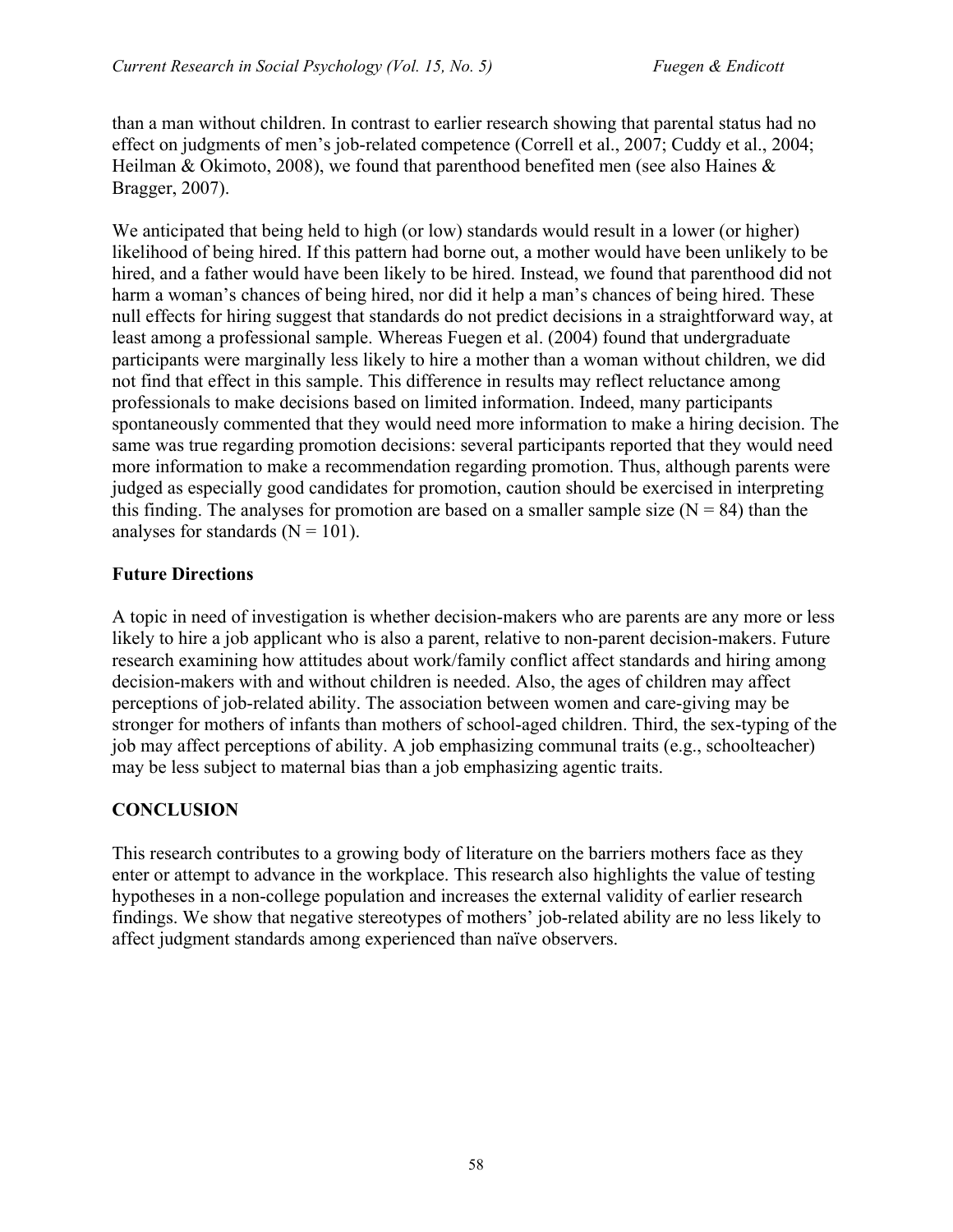than a man without children. In contrast to earlier research showing that parental status had no effect on judgments of men's job-related competence (Correll et al., 2007; Cuddy et al., 2004; Heilman & Okimoto, 2008), we found that parenthood benefited men (see also Haines & Bragger, 2007).

We anticipated that being held to high (or low) standards would result in a lower (or higher) likelihood of being hired. If this pattern had borne out, a mother would have been unlikely to be hired, and a father would have been likely to be hired. Instead, we found that parenthood did not harm a woman's chances of being hired, nor did it help a man's chances of being hired. These null effects for hiring suggest that standards do not predict decisions in a straightforward way, at least among a professional sample. Whereas Fuegen et al. (2004) found that undergraduate participants were marginally less likely to hire a mother than a woman without children, we did not find that effect in this sample. This difference in results may reflect reluctance among professionals to make decisions based on limited information. Indeed, many participants spontaneously commented that they would need more information to make a hiring decision. The same was true regarding promotion decisions: several participants reported that they would need more information to make a recommendation regarding promotion. Thus, although parents were judged as especially good candidates for promotion, caution should be exercised in interpreting this finding. The analyses for promotion are based on a smaller sample size  $(N = 84)$  than the analyses for standards  $(N = 101)$ .

## **Future Directions**

A topic in need of investigation is whether decision-makers who are parents are any more or less likely to hire a job applicant who is also a parent, relative to non-parent decision-makers. Future research examining how attitudes about work/family conflict affect standards and hiring among decision-makers with and without children is needed. Also, the ages of children may affect perceptions of job-related ability. The association between women and care-giving may be stronger for mothers of infants than mothers of school-aged children. Third, the sex-typing of the job may affect perceptions of ability. A job emphasizing communal traits (e.g., schoolteacher) may be less subject to maternal bias than a job emphasizing agentic traits.

## **CONCLUSION**

This research contributes to a growing body of literature on the barriers mothers face as they enter or attempt to advance in the workplace. This research also highlights the value of testing hypotheses in a non-college population and increases the external validity of earlier research findings. We show that negative stereotypes of mothers' job-related ability are no less likely to affect judgment standards among experienced than naïve observers.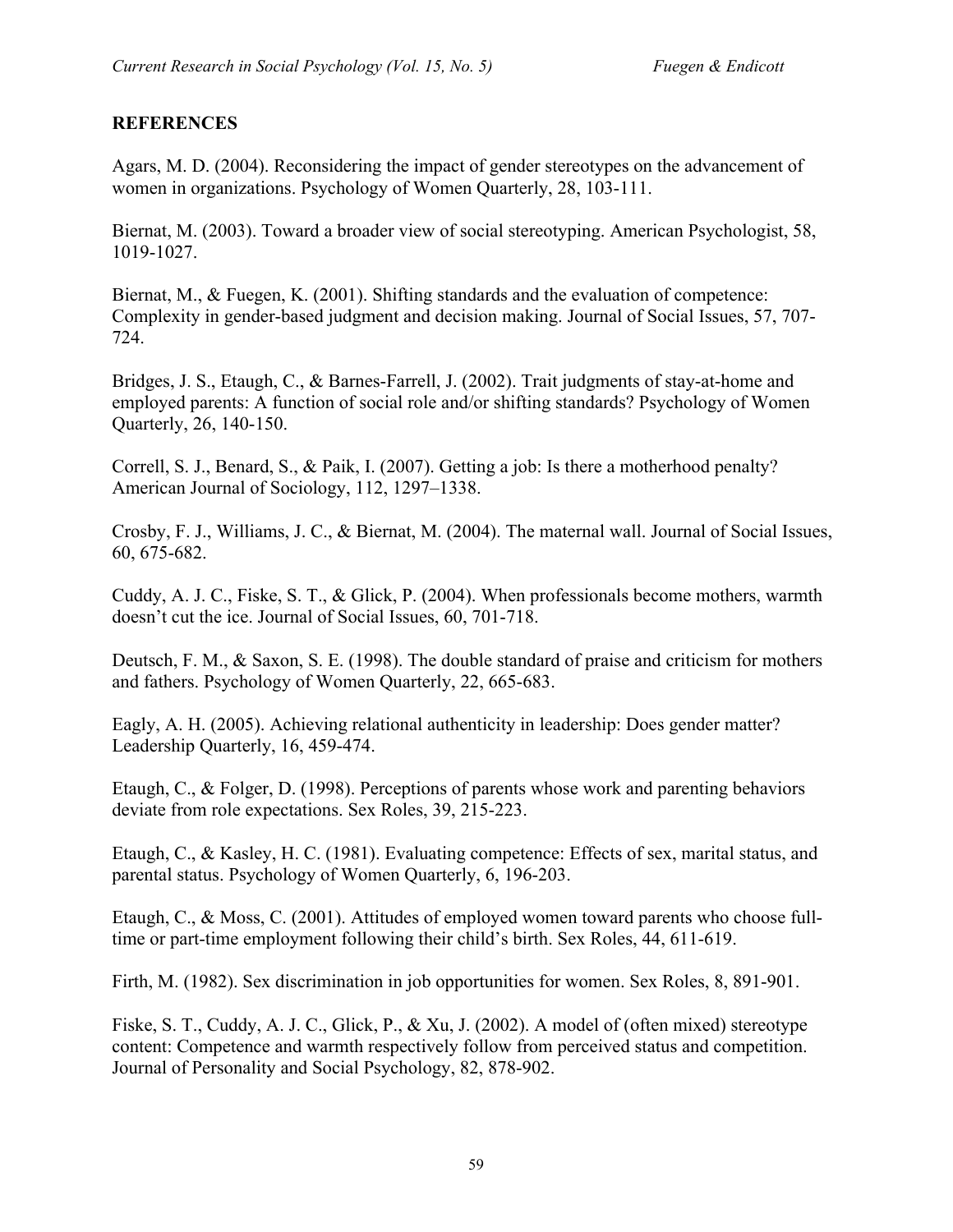#### **REFERENCES**

Agars, M. D. (2004). Reconsidering the impact of gender stereotypes on the advancement of women in organizations. Psychology of Women Quarterly, 28, 103-111.

Biernat, M. (2003). Toward a broader view of social stereotyping. American Psychologist, 58, 1019-1027.

Biernat, M., & Fuegen, K. (2001). Shifting standards and the evaluation of competence: Complexity in gender-based judgment and decision making. Journal of Social Issues, 57, 707- 724.

Bridges, J. S., Etaugh, C., & Barnes-Farrell, J. (2002). Trait judgments of stay-at-home and employed parents: A function of social role and/or shifting standards? Psychology of Women Quarterly, 26, 140-150.

Correll, S. J., Benard, S., & Paik, I. (2007). Getting a job: Is there a motherhood penalty? American Journal of Sociology, 112, 1297–1338.

Crosby, F. J., Williams, J. C., & Biernat, M. (2004). The maternal wall. Journal of Social Issues, 60, 675-682.

Cuddy, A. J. C., Fiske, S. T., & Glick, P. (2004). When professionals become mothers, warmth doesn't cut the ice. Journal of Social Issues, 60, 701-718.

Deutsch, F. M., & Saxon, S. E. (1998). The double standard of praise and criticism for mothers and fathers. Psychology of Women Quarterly, 22, 665-683.

Eagly, A. H. (2005). Achieving relational authenticity in leadership: Does gender matter? Leadership Quarterly, 16, 459-474.

Etaugh, C., & Folger, D. (1998). Perceptions of parents whose work and parenting behaviors deviate from role expectations. Sex Roles, 39, 215-223.

Etaugh, C., & Kasley, H. C. (1981). Evaluating competence: Effects of sex, marital status, and parental status. Psychology of Women Quarterly, 6, 196-203.

Etaugh, C., & Moss, C. (2001). Attitudes of employed women toward parents who choose fulltime or part-time employment following their child's birth. Sex Roles, 44, 611-619.

Firth, M. (1982). Sex discrimination in job opportunities for women. Sex Roles, 8, 891-901.

Fiske, S. T., Cuddy, A. J. C., Glick, P., & Xu, J. (2002). A model of (often mixed) stereotype content: Competence and warmth respectively follow from perceived status and competition. Journal of Personality and Social Psychology, 82, 878-902.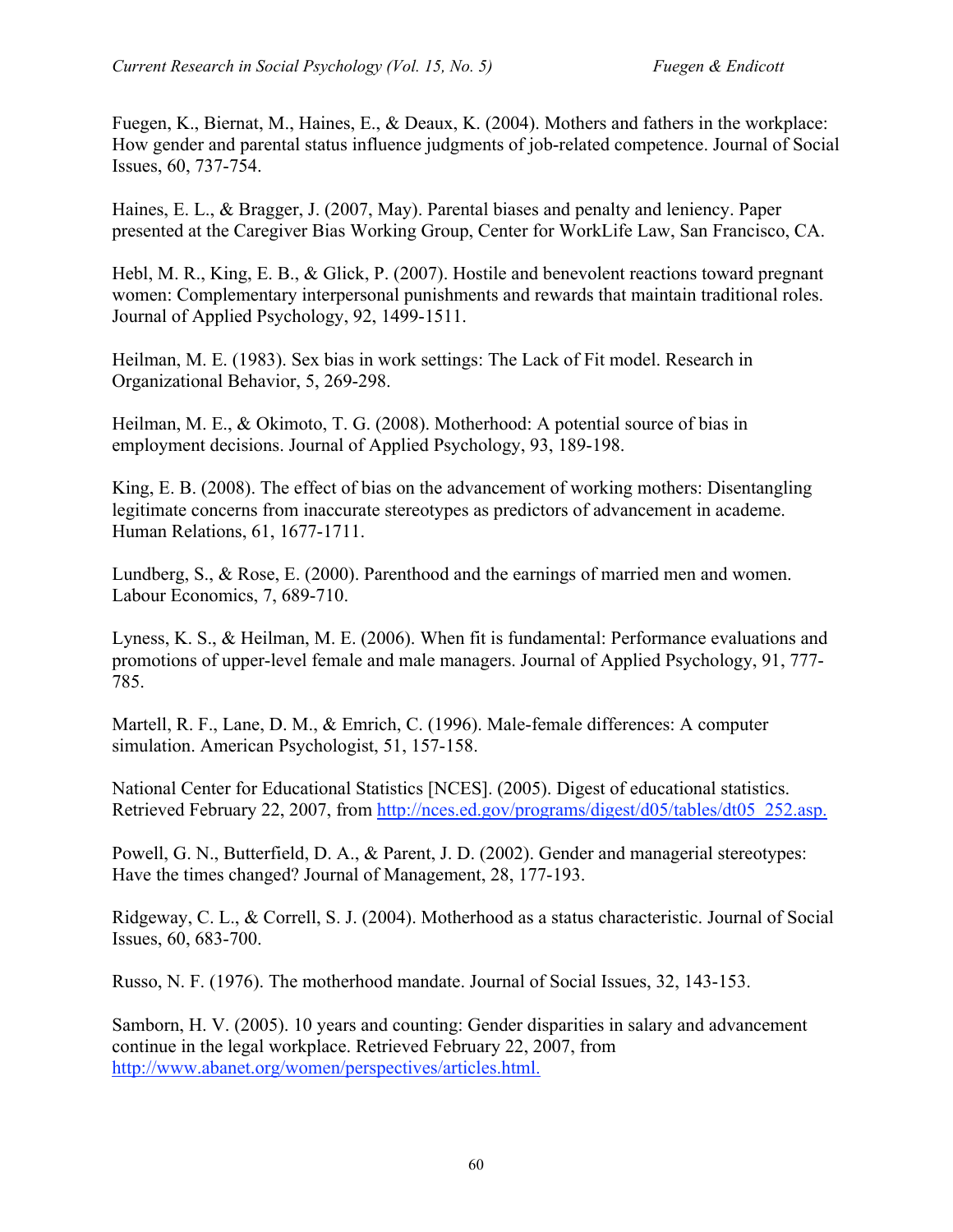Fuegen, K., Biernat, M., Haines, E., & Deaux, K. (2004). Mothers and fathers in the workplace: How gender and parental status influence judgments of job-related competence. Journal of Social Issues, 60, 737-754.

Haines, E. L., & Bragger, J. (2007, May). Parental biases and penalty and leniency. Paper presented at the Caregiver Bias Working Group, Center for WorkLife Law, San Francisco, CA.

Hebl, M. R., King, E. B., & Glick, P. (2007). Hostile and benevolent reactions toward pregnant women: Complementary interpersonal punishments and rewards that maintain traditional roles. Journal of Applied Psychology, 92, 1499-1511.

Heilman, M. E. (1983). Sex bias in work settings: The Lack of Fit model. Research in Organizational Behavior, 5, 269-298.

Heilman, M. E., & Okimoto, T. G. (2008). Motherhood: A potential source of bias in employment decisions. Journal of Applied Psychology, 93, 189-198.

King, E. B. (2008). The effect of bias on the advancement of working mothers: Disentangling legitimate concerns from inaccurate stereotypes as predictors of advancement in academe. Human Relations, 61, 1677-1711.

Lundberg, S., & Rose, E. (2000). Parenthood and the earnings of married men and women. Labour Economics, 7, 689-710.

Lyness, K. S., & Heilman, M. E. (2006). When fit is fundamental: Performance evaluations and promotions of upper-level female and male managers. Journal of Applied Psychology, 91, 777- 785.

Martell, R. F., Lane, D. M., & Emrich, C. (1996). Male-female differences: A computer simulation. American Psychologist, 51, 157-158.

National Center for Educational Statistics [NCES]. (2005). Digest of educational statistics. Retrieved February 22, 2007, from http://nces.ed.gov/programs/digest/d05/tables/dt05\_252.asp.

Powell, G. N., Butterfield, D. A., & Parent, J. D. (2002). Gender and managerial stereotypes: Have the times changed? Journal of Management, 28, 177-193.

Ridgeway, C. L., & Correll, S. J. (2004). Motherhood as a status characteristic. Journal of Social Issues, 60, 683-700.

Russo, N. F. (1976). The motherhood mandate. Journal of Social Issues, 32, 143-153.

Samborn, H. V. (2005). 10 years and counting: Gender disparities in salary and advancement continue in the legal workplace. Retrieved February 22, 2007, from http://www.abanet.org/women/perspectives/articles.html.